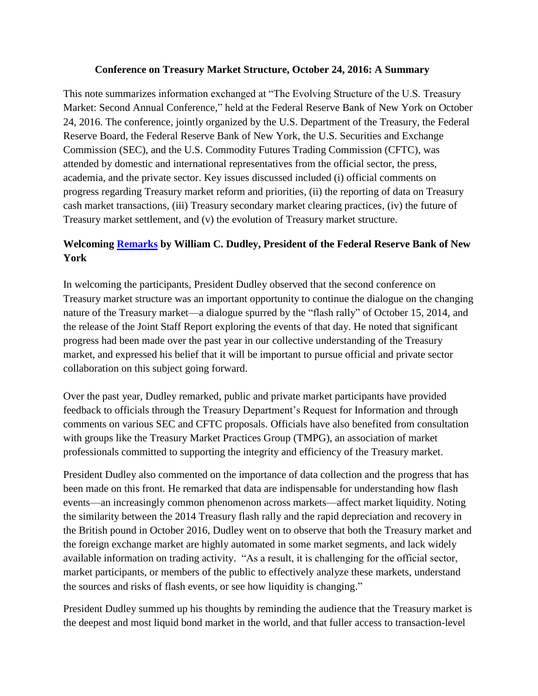#### **Conference on Treasury Market Structure, October 24, 2016: A Summary**

This note summarizes information exchanged at "The Evolving Structure of the U.S. Treasury Market: Second Annual Conference," held at the Federal Reserve Bank of New York on October 24, 2016. The conference, jointly organized by the U.S. Department of the Treasury, the Federal Reserve Board, the Federal Reserve Bank of New York, the U.S. Securities and Exchange Commission (SEC), and the U.S. Commodity Futures Trading Commission (CFTC), was attended by domestic and international representatives from the official sector, the press, academia, and the private sector. Key issues discussed included (i) official comments on progress regarding Treasury market reform and priorities, (ii) the reporting of data on Treasury cash market transactions, (iii) Treasury secondary market clearing practices, (iv) the future of Treasury market settlement, and (v) the evolution of Treasury market structure.

# **Welcoming [Remarks](https://www.newyorkfed.org/newsevents/speeches/2016/dud161024) by William C. Dudley, President of the Federal Reserve Bank of New York**

In welcoming the participants, President Dudley observed that the second conference on Treasury market structure was an important opportunity to continue the dialogue on the changing nature of the Treasury market—a dialogue spurred by the "flash rally" of October 15, 2014, and the release of the Joint Staff Report exploring the events of that day. He noted that significant progress had been made over the past year in our collective understanding of the Treasury market, and expressed his belief that it will be important to pursue official and private sector collaboration on this subject going forward.

Over the past year, Dudley remarked, public and private market participants have provided feedback to officials through the Treasury Department's Request for Information and through comments on various SEC and CFTC proposals. Officials have also benefited from consultation with groups like the Treasury Market Practices Group (TMPG), an association of market professionals committed to supporting the integrity and efficiency of the Treasury market.

President Dudley also commented on the importance of data collection and the progress that has been made on this front. He remarked that data are indispensable for understanding how flash events—an increasingly common phenomenon across markets—affect market liquidity. Noting the similarity between the 2014 Treasury flash rally and the rapid depreciation and recovery in the British pound in October 2016, Dudley went on to observe that both the Treasury market and the foreign exchange market are highly automated in some market segments, and lack widely available information on trading activity. "As a result, it is challenging for the official sector, market participants, or members of the public to effectively analyze these markets, understand the sources and risks of flash events, or see how liquidity is changing."

President Dudley summed up his thoughts by reminding the audience that the Treasury market is the deepest and most liquid bond market in the world, and that fuller access to transaction-level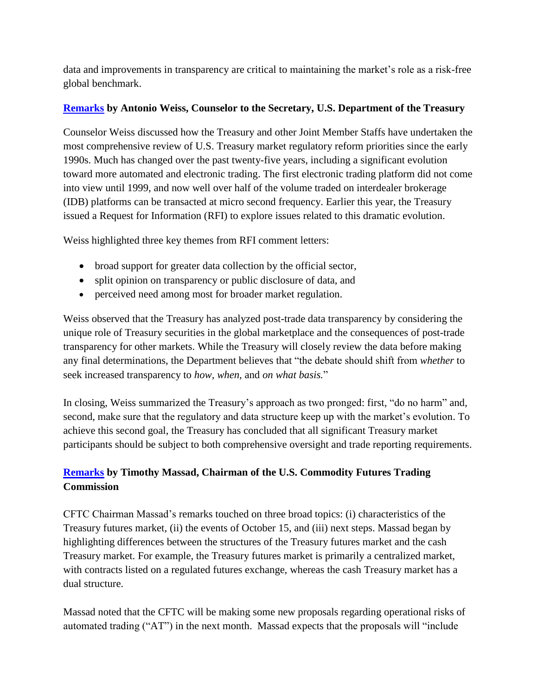data and improvements in transparency are critical to maintaining the market's role as a risk-free global benchmark.

### **[Remarks](https://www.treasury.gov/press-center/press-releases/Pages/jl0591.aspx) by Antonio Weiss, Counselor to the Secretary, U.S. Department of the Treasury**

Counselor Weiss discussed how the Treasury and other Joint Member Staffs have undertaken the most comprehensive review of U.S. Treasury market regulatory reform priorities since the early 1990s. Much has changed over the past twenty-five years, including a significant evolution toward more automated and electronic trading. The first electronic trading platform did not come into view until 1999, and now well over half of the volume traded on interdealer brokerage (IDB) platforms can be transacted at micro second frequency. Earlier this year, the Treasury issued a Request for Information (RFI) to explore issues related to this dramatic evolution.

Weiss highlighted three key themes from RFI comment letters:

- broad support for greater data collection by the official sector,
- split opinion on transparency or public disclosure of data, and
- perceived need among most for broader market regulation.

Weiss observed that the Treasury has analyzed post-trade data transparency by considering the unique role of Treasury securities in the global marketplace and the consequences of post-trade transparency for other markets. While the Treasury will closely review the data before making any final determinations, the Department believes that "the debate should shift from *whether* to seek increased transparency to *how, when,* and *on what basis.*"

In closing, Weiss summarized the Treasury's approach as two pronged: first, "do no harm" and, second, make sure that the regulatory and data structure keep up with the market's evolution. To achieve this second goal, the Treasury has concluded that all significant Treasury market participants should be subject to both comprehensive oversight and trade reporting requirements.

# **[Remarks](http://www.cftc.gov/PressRoom/SpeechesTestimony/opamassad-50) by Timothy Massad, Chairman of the U.S. Commodity Futures Trading Commission**

CFTC Chairman Massad's remarks touched on three broad topics: (i) characteristics of the Treasury futures market, (ii) the events of October 15, and (iii) next steps. Massad began by highlighting differences between the structures of the Treasury futures market and the cash Treasury market. For example, the Treasury futures market is primarily a centralized market, with contracts listed on a regulated futures exchange, whereas the cash Treasury market has a dual structure.

Massad noted that the CFTC will be making some new proposals regarding operational risks of automated trading ("AT") in the next month. Massad expects that the proposals will "include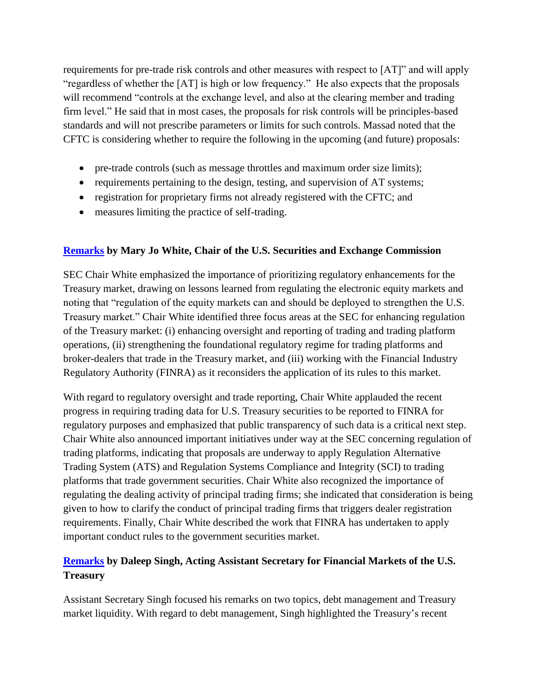requirements for pre-trade risk controls and other measures with respect to [AT]" and will apply "regardless of whether the [AT] is high or low frequency." He also expects that the proposals will recommend "controls at the exchange level, and also at the clearing member and trading firm level." He said that in most cases, the proposals for risk controls will be principles-based standards and will not prescribe parameters or limits for such controls. Massad noted that the CFTC is considering whether to require the following in the upcoming (and future) proposals:

- pre-trade controls (such as message throttles and maximum order size limits);
- requirements pertaining to the design, testing, and supervision of AT systems;
- registration for proprietary firms not already registered with the CFTC; and
- measures limiting the practice of self-trading.

### **[Remarks](https://www.sec.gov/news/speech/white-keynote-us-treasury-market-conference-102416.html) by Mary Jo White, Chair of the U.S. Securities and Exchange Commission**

SEC Chair White emphasized the importance of prioritizing regulatory enhancements for the Treasury market, drawing on lessons learned from regulating the electronic equity markets and noting that "regulation of the equity markets can and should be deployed to strengthen the U.S. Treasury market." Chair White identified three focus areas at the SEC for enhancing regulation of the Treasury market: (i) enhancing oversight and reporting of trading and trading platform operations, (ii) strengthening the foundational regulatory regime for trading platforms and broker-dealers that trade in the Treasury market, and (iii) working with the Financial Industry Regulatory Authority (FINRA) as it reconsiders the application of its rules to this market.

With regard to regulatory oversight and trade reporting, Chair White applauded the recent progress in requiring trading data for U.S. Treasury securities to be reported to FINRA for regulatory purposes and emphasized that public transparency of such data is a critical next step. Chair White also announced important initiatives under way at the SEC concerning regulation of trading platforms, indicating that proposals are underway to apply Regulation Alternative Trading System (ATS) and Regulation Systems Compliance and Integrity (SCI) to trading platforms that trade government securities. Chair White also recognized the importance of regulating the dealing activity of principal trading firms; she indicated that consideration is being given to how to clarify the conduct of principal trading firms that triggers dealer registration requirements. Finally, Chair White described the work that FINRA has undertaken to apply important conduct rules to the government securities market.

## **[Remarks](https://www.treasury.gov/press-center/press-releases/Pages/jl0592.aspx) by Daleep Singh, Acting Assistant Secretary for Financial Markets of the U.S. Treasury**

Assistant Secretary Singh [focused his](https://www.treasury.gov/press-center/press-releases/Pages/jl0592.aspx) remarks on two topics, debt management and Treasury market liquidity. With regard to debt management*,* Singh highlighted the Treasury's recent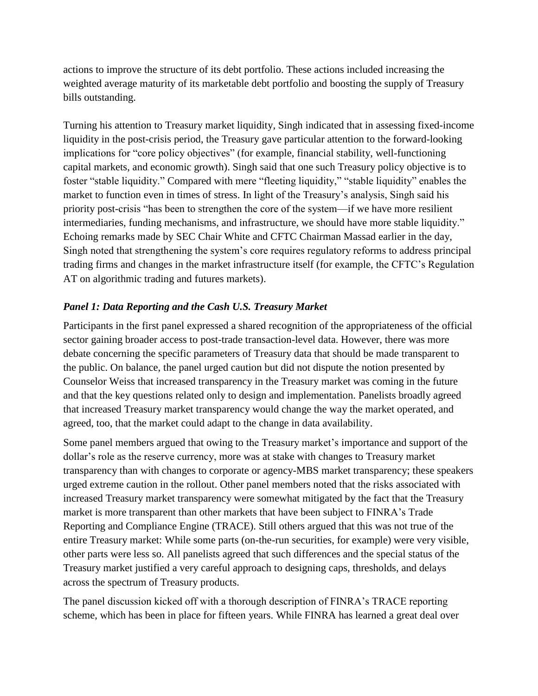actions to improve the structure of its debt portfolio. These actions included increasing the weighted average maturity of its marketable debt portfolio and boosting the supply of Treasury bills outstanding.

Turning his attention to Treasury market liquidity*,* Singh indicated that in assessing fixed-income liquidity in the post-crisis period, the Treasury gave particular attention to the forward-looking implications for "core policy objectives" (for example, financial stability, well-functioning capital markets, and economic growth). Singh said that one such Treasury policy objective is to foster "stable liquidity." Compared with mere "fleeting liquidity," "stable liquidity" enables the market to function even in times of stress. In light of the Treasury's analysis, Singh said his priority post-crisis "has been to strengthen the core of the system—if we have more resilient intermediaries, funding mechanisms, and infrastructure, we should have more stable liquidity." Echoing remarks made by SEC Chair White and CFTC Chairman Massad earlier in the day, Singh noted that strengthening the system's core requires regulatory reforms to address principal trading firms and changes in the market infrastructure itself (for example, the CFTC's Regulation AT on algorithmic trading and futures markets).

## *Panel 1: Data Reporting and the Cash U.S. Treasury Market*

Participants in the first panel expressed a shared recognition of the appropriateness of the official sector gaining broader access to post-trade transaction-level data. However, there was more debate concerning the specific parameters of Treasury data that should be made transparent to the public. On balance, the panel urged caution but did not dispute the notion presented by Counselor Weiss that increased transparency in the Treasury market was coming in the future and that the key questions related only to design and implementation. Panelists broadly agreed that increased Treasury market transparency would change the way the market operated, and agreed, too, that the market could adapt to the change in data availability.

Some panel members argued that owing to the Treasury market's importance and support of the dollar's role as the reserve currency, more was at stake with changes to Treasury market transparency than with changes to corporate or agency-MBS market transparency; these speakers urged extreme caution in the rollout. Other panel members noted that the risks associated with increased Treasury market transparency were somewhat mitigated by the fact that the Treasury market is more transparent than other markets that have been subject to FINRA's Trade Reporting and Compliance Engine (TRACE). Still others argued that this was not true of the entire Treasury market: While some parts (on-the-run securities, for example) were very visible, other parts were less so. All panelists agreed that such differences and the special status of the Treasury market justified a very careful approach to designing caps, thresholds, and delays across the spectrum of Treasury products.

The panel discussion kicked off with a thorough description of FINRA's TRACE reporting scheme, which has been in place for fifteen years. While FINRA has learned a great deal over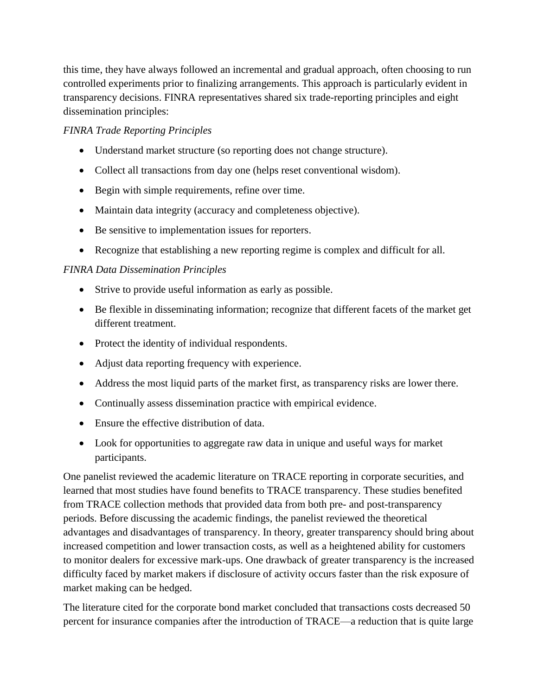this time, they have always followed an incremental and gradual approach, often choosing to run controlled experiments prior to finalizing arrangements. This approach is particularly evident in transparency decisions. FINRA representatives shared six trade-reporting principles and eight dissemination principles:

### *FINRA Trade Reporting Principles*

- Understand market structure (so reporting does not change structure).
- Collect all transactions from day one (helps reset conventional wisdom).
- Begin with simple requirements, refine over time.
- Maintain data integrity (accuracy and completeness objective).
- Be sensitive to implementation issues for reporters.
- Recognize that establishing a new reporting regime is complex and difficult for all.

### *FINRA Data Dissemination Principles*

- Strive to provide useful information as early as possible.
- Be flexible in disseminating information; recognize that different facets of the market get different treatment.
- Protect the identity of individual respondents.
- Adjust data reporting frequency with experience.
- Address the most liquid parts of the market first, as transparency risks are lower there.
- Continually assess dissemination practice with empirical evidence.
- Ensure the effective distribution of data.
- Look for opportunities to aggregate raw data in unique and useful ways for market participants.

One panelist reviewed the academic literature on TRACE reporting in corporate securities, and learned that most studies have found benefits to TRACE transparency. These studies benefited from TRACE collection methods that provided data from both pre- and post-transparency periods. Before discussing the academic findings, the panelist reviewed the theoretical advantages and disadvantages of transparency. In theory, greater transparency should bring about increased competition and lower transaction costs, as well as a heightened ability for customers to monitor dealers for excessive mark-ups. One drawback of greater transparency is the increased difficulty faced by market makers if disclosure of activity occurs faster than the risk exposure of market making can be hedged.

The literature cited for the corporate bond market concluded that transactions costs decreased 50 percent for insurance companies after the introduction of TRACE—a reduction that is quite large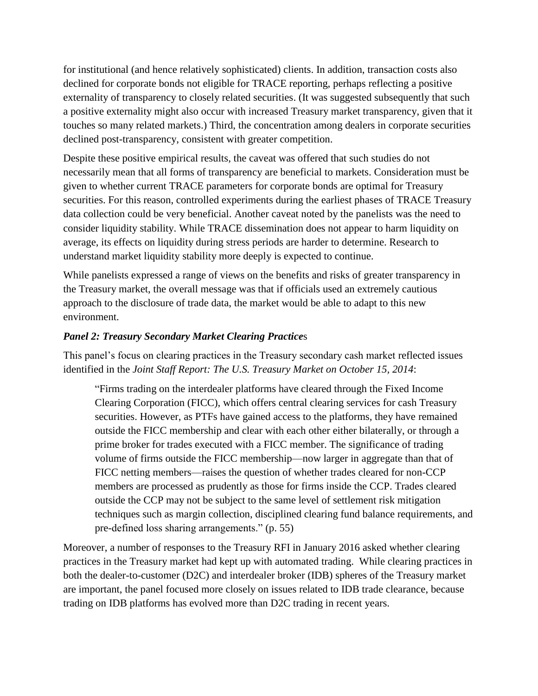for institutional (and hence relatively sophisticated) clients. In addition, transaction costs also declined for corporate bonds not eligible for TRACE reporting, perhaps reflecting a positive externality of transparency to closely related securities. (It was suggested subsequently that such a positive externality might also occur with increased Treasury market transparency, given that it touches so many related markets.) Third, the concentration among dealers in corporate securities declined post-transparency, consistent with greater competition.

Despite these positive empirical results, the caveat was offered that such studies do not necessarily mean that all forms of transparency are beneficial to markets. Consideration must be given to whether current TRACE parameters for corporate bonds are optimal for Treasury securities. For this reason, controlled experiments during the earliest phases of TRACE Treasury data collection could be very beneficial. Another caveat noted by the panelists was the need to consider liquidity stability. While TRACE dissemination does not appear to harm liquidity on average, its effects on liquidity during stress periods are harder to determine. Research to understand market liquidity stability more deeply is expected to continue.

While panelists expressed a range of views on the benefits and risks of greater transparency in the Treasury market, the overall message was that if officials used an extremely cautious approach to the disclosure of trade data, the market would be able to adapt to this new environment.

### *Panel 2: Treasury Secondary Market Clearing Practice*s

This panel's focus on clearing practices in the Treasury secondary cash market reflected issues identified in the *Joint Staff Report: The U.S. Treasury Market on October 15, 2014*:

"Firms trading on the interdealer platforms have cleared through the Fixed Income Clearing Corporation (FICC), which offers central clearing services for cash Treasury securities. However, as PTFs have gained access to the platforms, they have remained outside the FICC membership and clear with each other either bilaterally, or through a prime broker for trades executed with a FICC member. The significance of trading volume of firms outside the FICC membership—now larger in aggregate than that of FICC netting members—raises the question of whether trades cleared for non-CCP members are processed as prudently as those for firms inside the CCP. Trades cleared outside the CCP may not be subject to the same level of settlement risk mitigation techniques such as margin collection, disciplined clearing fund balance requirements, and pre-defined loss sharing arrangements." (p. 55)

Moreover, a number of responses to the Treasury RFI in January 2016 asked whether clearing practices in the Treasury market had kept up with automated trading. While clearing practices in both the dealer-to-customer (D2C) and interdealer broker (IDB) spheres of the Treasury market are important, the panel focused more closely on issues related to IDB trade clearance, because trading on IDB platforms has evolved more than D2C trading in recent years.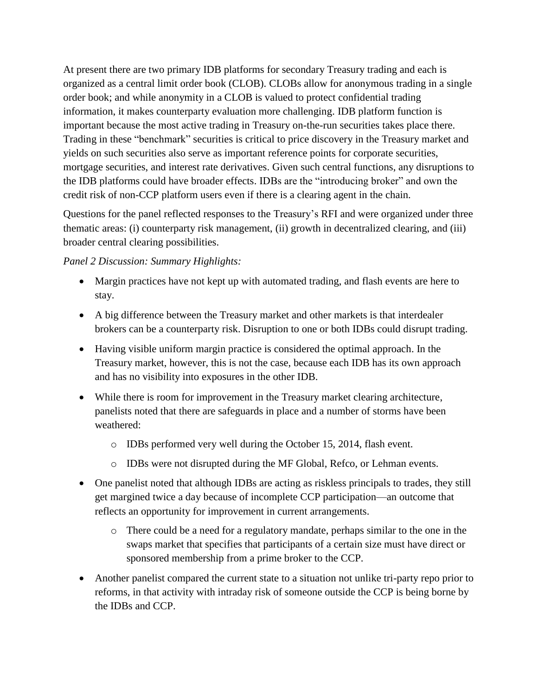At present there are two primary IDB platforms for secondary Treasury trading and each is organized as a central limit order book (CLOB). CLOBs allow for anonymous trading in a single order book; and while anonymity in a CLOB is valued to protect confidential trading information, it makes counterparty evaluation more challenging. IDB platform function is important because the most active trading in Treasury on-the-run securities takes place there. Trading in these "benchmark" securities is critical to price discovery in the Treasury market and yields on such securities also serve as important reference points for corporate securities, mortgage securities, and interest rate derivatives. Given such central functions, any disruptions to the IDB platforms could have broader effects. IDBs are the "introducing broker" and own the credit risk of non-CCP platform users even if there is a clearing agent in the chain.

Questions for the panel reflected responses to the Treasury's RFI and were organized under three thematic areas: (i) counterparty risk management, (ii) growth in decentralized clearing, and (iii) broader central clearing possibilities.

### *Panel 2 Discussion: Summary Highlights:*

- Margin practices have not kept up with automated trading, and flash events are here to stay.
- A big difference between the Treasury market and other markets is that interdealer brokers can be a counterparty risk. Disruption to one or both IDBs could disrupt trading.
- Having visible uniform margin practice is considered the optimal approach. In the Treasury market, however, this is not the case, because each IDB has its own approach and has no visibility into exposures in the other IDB.
- While there is room for improvement in the Treasury market clearing architecture, panelists noted that there are safeguards in place and a number of storms have been weathered:
	- o IDBs performed very well during the October 15, 2014, flash event.
	- o IDBs were not disrupted during the MF Global, Refco, or Lehman events.
- One panelist noted that although IDBs are acting as riskless principals to trades, they still get margined twice a day because of incomplete CCP participation—an outcome that reflects an opportunity for improvement in current arrangements.
	- o There could be a need for a regulatory mandate, perhaps similar to the one in the swaps market that specifies that participants of a certain size must have direct or sponsored membership from a prime broker to the CCP.
- Another panelist compared the current state to a situation not unlike tri-party repo prior to reforms, in that activity with intraday risk of someone outside the CCP is being borne by the IDBs and CCP.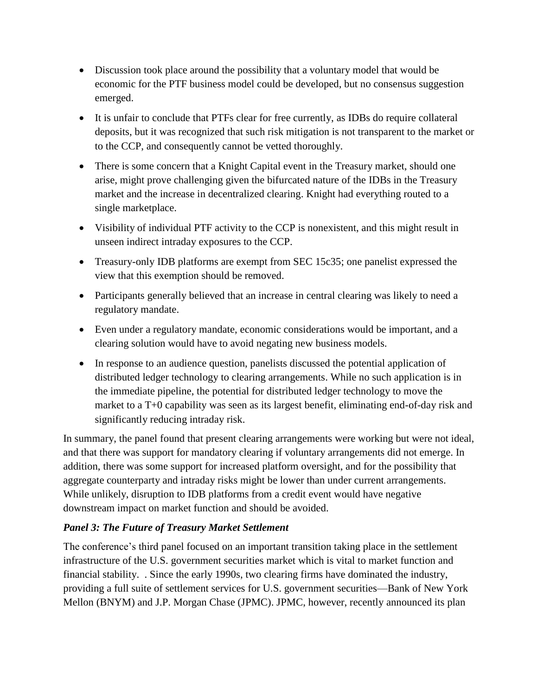- Discussion took place around the possibility that a voluntary model that would be economic for the PTF business model could be developed, but no consensus suggestion emerged.
- It is unfair to conclude that PTFs clear for free currently, as IDBs do require collateral deposits, but it was recognized that such risk mitigation is not transparent to the market or to the CCP, and consequently cannot be vetted thoroughly.
- There is some concern that a Knight Capital event in the Treasury market, should one arise, might prove challenging given the bifurcated nature of the IDBs in the Treasury market and the increase in decentralized clearing. Knight had everything routed to a single marketplace.
- Visibility of individual PTF activity to the CCP is nonexistent, and this might result in unseen indirect intraday exposures to the CCP.
- Treasury-only IDB platforms are exempt from SEC 15c35; one panelist expressed the view that this exemption should be removed.
- Participants generally believed that an increase in central clearing was likely to need a regulatory mandate.
- Even under a regulatory mandate, economic considerations would be important, and a clearing solution would have to avoid negating new business models.
- In response to an audience question, panelists discussed the potential application of distributed ledger technology to clearing arrangements. While no such application is in the immediate pipeline, the potential for distributed ledger technology to move the market to a T+0 capability was seen as its largest benefit, eliminating end-of-day risk and significantly reducing intraday risk.

In summary, the panel found that present clearing arrangements were working but were not ideal, and that there was support for mandatory clearing if voluntary arrangements did not emerge. In addition, there was some support for increased platform oversight, and for the possibility that aggregate counterparty and intraday risks might be lower than under current arrangements. While unlikely, disruption to IDB platforms from a credit event would have negative downstream impact on market function and should be avoided.

## *Panel 3: The Future of Treasury Market Settlement*

The conference's third panel focused on an important transition taking place in the settlement infrastructure of the U.S. government securities market which is vital to market function and financial stability. . Since the early 1990s, two clearing firms have dominated the industry, providing a full suite of settlement services for U.S. government securities—Bank of New York Mellon (BNYM) and J.P. Morgan Chase (JPMC). JPMC, however, recently announced its plan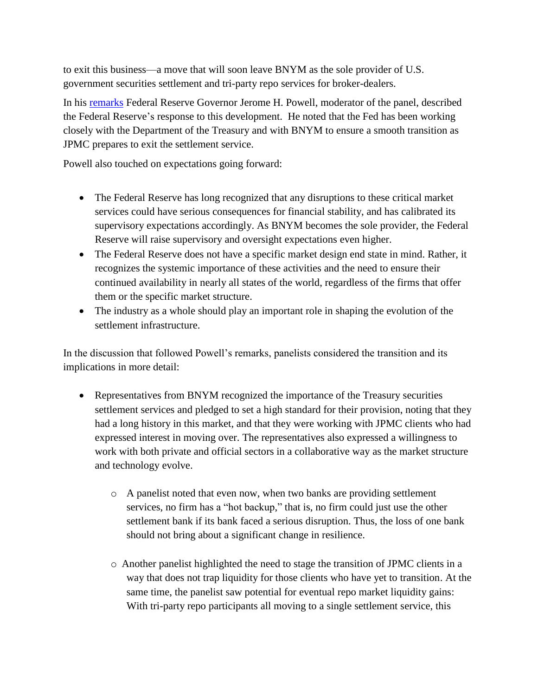to exit this business—a move that will soon leave BNYM as the sole provider of U.S. government securities settlement and tri-party repo services for broker-dealers.

In his [remarks](https://www.federalreserve.gov/newsevents/speech/powell20161024.htm) Federal Reserve Governor Jerome H. Powell, moderator of the panel, described the Federal Reserve's response to this development. He noted that the Fed has been working closely with the Department of the Treasury and with BNYM to ensure a smooth transition as JPMC prepares to exit the settlement service.

Powell also touched on expectations going forward:

- The Federal Reserve has long recognized that any disruptions to these critical market services could have serious consequences for financial stability, and has calibrated its supervisory expectations accordingly. As BNYM becomes the sole provider, the Federal Reserve will raise supervisory and oversight expectations even higher.
- The Federal Reserve does not have a specific market design end state in mind. Rather, it recognizes the systemic importance of these activities and the need to ensure their continued availability in nearly all states of the world, regardless of the firms that offer them or the specific market structure.
- The industry as a whole should play an important role in shaping the evolution of the settlement infrastructure.

In the discussion that followed Powell's remarks, panelists considered the transition and its implications in more detail:

- Representatives from BNYM recognized the importance of the Treasury securities settlement services and pledged to set a high standard for their provision, noting that they had a long history in this market, and that they were working with JPMC clients who had expressed interest in moving over. The representatives also expressed a willingness to work with both private and official sectors in a collaborative way as the market structure and technology evolve.
	- o A panelist noted that even now, when two banks are providing settlement services, no firm has a "hot backup," that is, no firm could just use the other settlement bank if its bank faced a serious disruption. Thus, the loss of one bank should not bring about a significant change in resilience.
	- o Another panelist highlighted the need to stage the transition of JPMC clients in a way that does not trap liquidity for those clients who have yet to transition. At the same time, the panelist saw potential for eventual repo market liquidity gains: With tri-party repo participants all moving to a single settlement service, this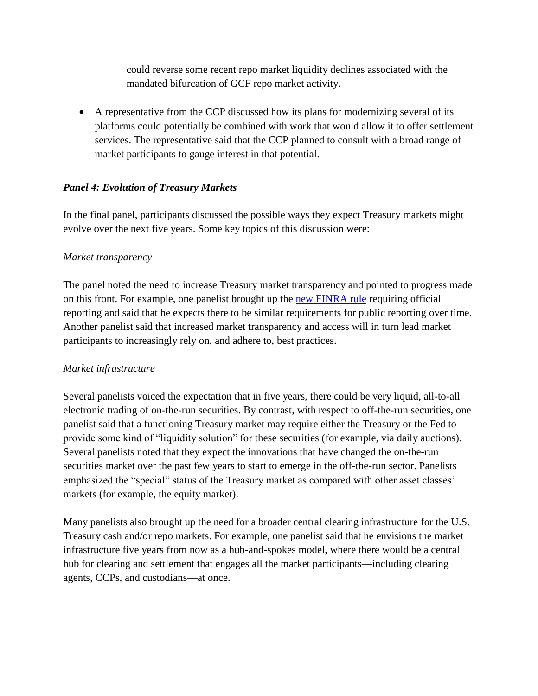could reverse some recent repo market liquidity declines associated with the mandated bifurcation of GCF repo market activity.

 A representative from the CCP discussed how its plans for modernizing several of its platforms could potentially be combined with work that would allow it to offer settlement services. The representative said that the CCP planned to consult with a broad range of market participants to gauge interest in that potential.

### *Panel 4: Evolution of Treasury Markets*

In the final panel, participants discussed the possible ways they expect Treasury markets might evolve over the next five years. Some key topics of this discussion were:

### *Market transparency*

The panel noted the need to increase Treasury market transparency and pointed to progress made on this front. For example, one panelist brought up the [new FINRA rule](http://www.finra.org/newsroom/2016/finra-receives-sec-approval-require-member-firms-report-treasury-transactions-trace) requiring official reporting and said that he expects there to be similar requirements for public reporting over time. Another panelist said that increased market transparency and access will in turn lead market participants to increasingly rely on, and adhere to, best practices.

### *Market infrastructure*

Several panelists voiced the expectation that in five years, there could be very liquid, all-to-all electronic trading of on-the-run securities. By contrast, with respect to off-the-run securities, one panelist said that a functioning Treasury market may require either the Treasury or the Fed to provide some kind of "liquidity solution" for these securities (for example, via daily auctions). Several panelists noted that they expect the innovations that have changed the on-the-run securities market over the past few years to start to emerge in the off-the-run sector. Panelists emphasized the "special" status of the Treasury market as compared with other asset classes' markets (for example, the equity market).

Many panelists also brought up the need for a broader central clearing infrastructure for the U.S. Treasury cash and/or repo markets. For example, one panelist said that he envisions the market infrastructure five years from now as a hub-and-spokes model, where there would be a central hub for clearing and settlement that engages all the market participants—including clearing agents, CCPs, and custodians—at once.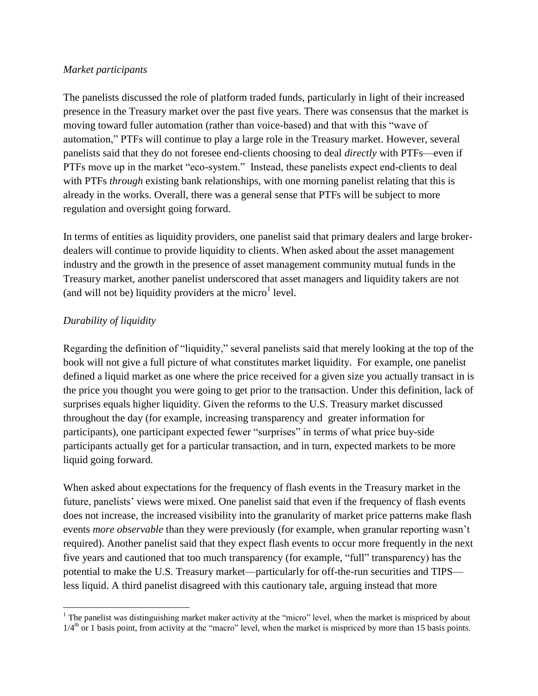#### *Market participants*

The panelists discussed the role of platform traded funds, particularly in light of their increased presence in the Treasury market over the past five years. There was consensus that the market is moving toward fuller automation (rather than voice-based) and that with this "wave of automation," PTFs will continue to play a large role in the Treasury market. However, several panelists said that they do not foresee end-clients choosing to deal *directly* with PTFs—even if PTFs move up in the market "eco-system." Instead, these panelists expect end-clients to deal with PTFs *through* existing bank relationships, with one morning panelist relating that this is already in the works. Overall, there was a general sense that PTFs will be subject to more regulation and oversight going forward.

In terms of entities as liquidity providers, one panelist said that primary dealers and large brokerdealers will continue to provide liquidity to clients. When asked about the asset management industry and the growth in the presence of asset management community mutual funds in the Treasury market, another panelist underscored that asset managers and liquidity takers are not (and will not be) liquidity providers at the micro $<sup>1</sup>$  level.</sup>

## *Durability of liquidity*

Regarding the definition of "liquidity," several panelists said that merely looking at the top of the book will not give a full picture of what constitutes market liquidity. For example, one panelist defined a liquid market as one where the price received for a given size you actually transact in is the price you thought you were going to get prior to the transaction. Under this definition, lack of surprises equals higher liquidity. Given the reforms to the U.S. Treasury market discussed throughout the day (for example, increasing transparency and greater information for participants), one participant expected fewer "surprises" in terms of what price buy-side participants actually get for a particular transaction, and in turn, expected markets to be more liquid going forward.

When asked about expectations for the frequency of flash events in the Treasury market in the future, panelists' views were mixed. One panelist said that even if the frequency of flash events does not increase, the increased visibility into the granularity of market price patterns make flash events *more observable* than they were previously (for example, when granular reporting wasn't required). Another panelist said that they expect flash events to occur more frequently in the next five years and cautioned that too much transparency (for example, "full" transparency) has the potential to make the U.S. Treasury market—particularly for off-the-run securities and TIPS less liquid. A third panelist disagreed with this cautionary tale, arguing instead that more

 $\overline{\phantom{a}}$ <sup>1</sup> The panelist was distinguishing market maker activity at the "micro" level, when the market is mispriced by about  $1/4<sup>th</sup>$  or 1 basis point, from activity at the "macro" level, when the market is mispriced by more than 15 basis points.